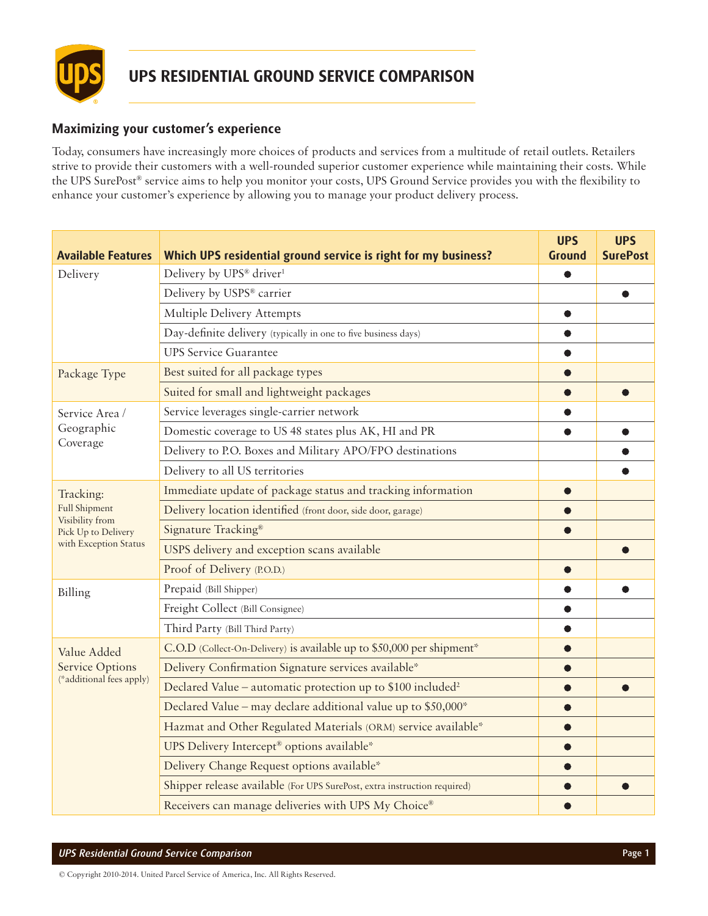

## **Maximizing your customer's experience**

Today, consumers have increasingly more choices of products and services from a multitude of retail outlets. Retailers strive to provide their customers with a well-rounded superior customer experience while maintaining their costs. While the UPS SurePost® service aims to help you monitor your costs, UPS Ground Service provides you with the flexibility to enhance your customer's experience by allowing you to manage your product delivery process.

| <b>Available Features</b>                                         | Which UPS residential ground service is right for my business?           | <b>UPS</b><br>Ground | <b>UPS</b><br><b>SurePost</b> |
|-------------------------------------------------------------------|--------------------------------------------------------------------------|----------------------|-------------------------------|
| Delivery                                                          | Delivery by UPS® driver <sup>1</sup>                                     |                      |                               |
|                                                                   | Delivery by USPS® carrier                                                |                      | $\bullet$                     |
|                                                                   | Multiple Delivery Attempts                                               |                      |                               |
|                                                                   | Day-definite delivery (typically in one to five business days)           |                      |                               |
|                                                                   | <b>UPS Service Guarantee</b>                                             |                      |                               |
| Package Type                                                      | Best suited for all package types                                        |                      |                               |
|                                                                   | Suited for small and lightweight packages                                | $\bullet$            | æ                             |
| Service Area /<br>Geographic<br>Coverage                          | Service leverages single-carrier network                                 |                      |                               |
|                                                                   | Domestic coverage to US 48 states plus AK, HI and PR                     | ●                    | $\bullet$                     |
|                                                                   | Delivery to P.O. Boxes and Military APO/FPO destinations                 |                      |                               |
|                                                                   | Delivery to all US territories                                           |                      |                               |
| Tracking:                                                         | Immediate update of package status and tracking information              |                      |                               |
| <b>Full Shipment</b>                                              | Delivery location identified (front door, side door, garage)             |                      |                               |
| Visibility from<br>Pick Up to Delivery                            | Signature Tracking®                                                      |                      |                               |
| with Exception Status                                             | USPS delivery and exception scans available                              |                      |                               |
|                                                                   | Proof of Delivery (P.O.D.)                                               |                      |                               |
| Billing                                                           | Prepaid (Bill Shipper)                                                   |                      |                               |
|                                                                   | Freight Collect (Bill Consignee)                                         |                      |                               |
|                                                                   | Third Party (Bill Third Party)                                           |                      |                               |
| Value Added<br><b>Service Options</b><br>(*additional fees apply) | C.O.D (Collect-On-Delivery) is available up to \$50,000 per shipment*    |                      |                               |
|                                                                   | Delivery Confirmation Signature services available*                      |                      |                               |
|                                                                   | Declared Value – automatic protection up to \$100 included <sup>2</sup>  | $\bullet$            |                               |
|                                                                   | Declared Value - may declare additional value up to \$50,000*            |                      |                               |
|                                                                   | Hazmat and Other Regulated Materials (ORM) service available*            |                      |                               |
|                                                                   | UPS Delivery Intercept® options available*                               |                      |                               |
|                                                                   | Delivery Change Request options available*                               |                      |                               |
|                                                                   | Shipper release available (For UPS SurePost, extra instruction required) |                      |                               |
|                                                                   | Receivers can manage deliveries with UPS My Choice®                      |                      |                               |

© Copyright 2010-2014. United Parcel Service of America, Inc. All Rights Reserved.